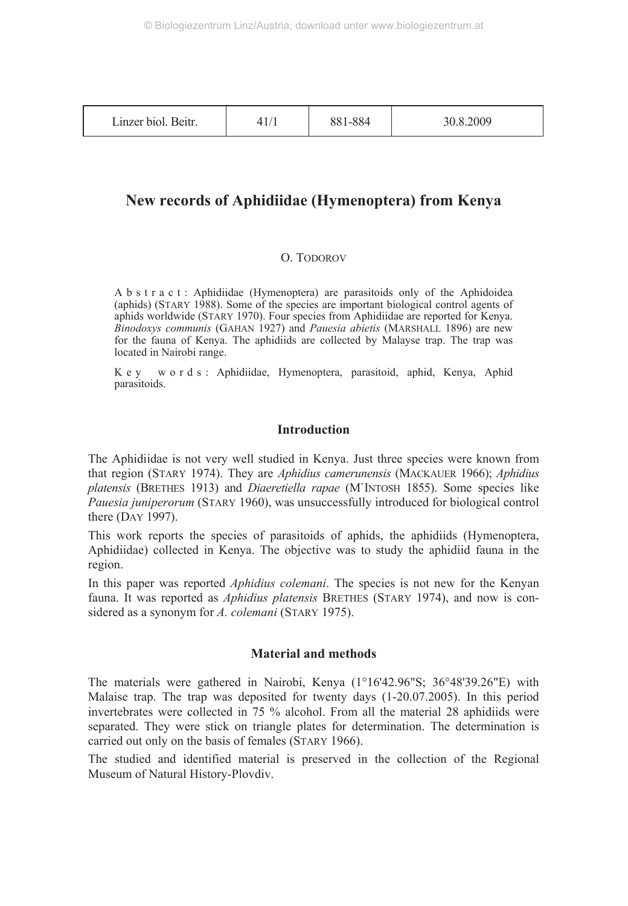| Linzer biol. Beitr. |  | 881-884 | 30.8.2009 |
|---------------------|--|---------|-----------|
|---------------------|--|---------|-----------|

## **New records of Aphidiidae (Hymenoptera) from Kenya**

#### O. TODOROV

A b s t r a c t : Aphidiidae (Hymenoptera) are parasitoids only of the Aphidoidea (aphids) (STARY 1988). Some of the species are important biological control agents of aphids worldwide (STARY 1970). Four species from Aphidiidae are reported for Kenya. *Binodoxys communis* (GAHAN 1927) and *Pauesia abietis* (MARSHALL 1896) are new for the fauna of Kenya. The aphidiids are collected by Malayse trap. The trap was located in Nairobi range.

Key words: Aphidiidae, Hymenoptera, parasitoid, aphid, Kenya, Aphid parasitoids.

#### **Introduction**

The Aphidiidae is not very well studied in Kenya. Just three species were known from that region (STARY 1974). They are *Aphidius camerunensis* (MACKAUER 1966); *Aphidius platensis* (BRETHES 1913) and *Diaeretiella rapae* (M`INTOSH 1855). Some species like *Pauesia juniperorum* (STARY 1960), was unsuccessfully introduced for biological control there (DAY 1997).

This work reports the species of parasitoids of aphids, the aphidiids (Hymenoptera, Aphidiidae) collected in Kenya. The objective was to study the aphidiid fauna in the region.

In this paper was reported *Aphidius colemani*. The species is not new for the Kenyan fauna. It was reported as *Aphidius platensis* BRETHES (STARY 1974), and now is considered as a synonym for *A. colemani* (STARY 1975).

#### **Material and methods**

The materials were gathered in Nairobi, Kenya (1°16'42.96"S; 36°48'39.26"E) with Malaise trap. The trap was deposited for twenty days (1-20.07.2005). In this period invertebrates were collected in 75 % alcohol. From all the material 28 aphidiids were separated. They were stick on triangle plates for determination. The determination is carried out only on the basis of females (STARY 1966).

The studied and identified material is preserved in the collection of the Regional Museum of Natural History-Plovdiv.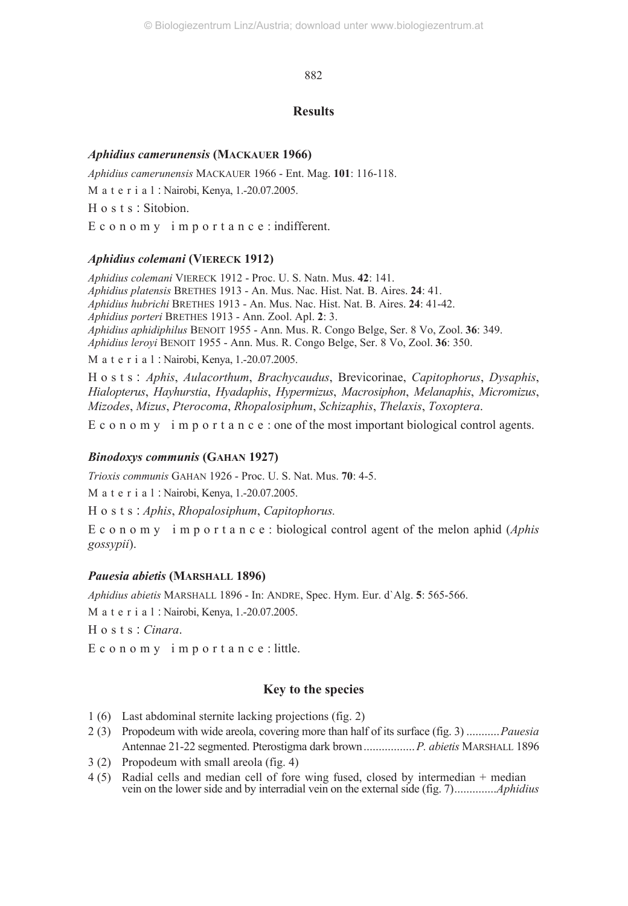882

#### **Results**

#### *Aphidius camerunensis* **(MACKAUER 1966)**

*Aphidius camerunensis* MACKAUER 1966 - Ent. Mag. **101**: 116-118. Material : Nairobi, Kenya, 1.-20.07.2005. Hosts : Sitobion.

E c o n o m y i m p o r t a n c e : indifferent.

#### *Aphidius colemani* **(VIERECK 1912)**

*Aphidius colemani* VIERECK 1912 - Proc. U. S. Natn. Mus. **42**: 141. *Aphidius platensis* BRETHES 1913 - An. Mus. Nac. Hist. Nat. B. Aires. **24**: 41. *Aphidius hubrichi* BRETHES 1913 - An. Mus. Nac. Hist. Nat. B. Aires. **24**: 41-42. *Aphidius porteri* BRETHES 1913 - Ann. Zool. Apl. **2**: 3. *Aphidius aphidiphilus* BENOIT 1955 - Ann. Mus. R. Congo Belge, Ser. 8 Vo, Zool. **36**: 349. *Aphidius leroyi* BENOIT 1955 - Ann. Mus. R. Congo Belge, Ser. 8 Vo, Zool. **36**: 350.

Material : Nairobi, Kenya, 1.-20.07.2005.

Hosts : *Aphis*, *Aulacorthum*, *Brachycaudus*, Brevicorinae, *Capitophorus*, *Dysaphis*, *Hialopterus*, *Hayhurstia*, *Hyadaphis*, *Hypermizus*, *Macrosiphon*, *Melanaphis*, *Micromizus*, *Mizodes*, *Mizus*, *Pterocoma*, *Rhopalosiphum*, *Schizaphis*, *Thelaxis*, *Toxoptera*.

E c o n o m y i m p o r t a n c e : one of the most important biological control agents.

## *Binodoxys communis* **(GAHAN 1927)**

*Trioxis communis* GAHAN 1926 - Proc. U. S. Nat. Mus. **70**: 4-5.

Material : Nairobi, Kenya, 1.-20.07.2005.

Hosts : *Aphis*, *Rhopalosiphum*, *Capitophorus.*

E c o n o m y i m p o r t a n c e : biological control agent of the melon aphid (*Aphis gossypii*).

## *Pauesia abietis* **(MARSHALL 1896)**

*Aphidius abietis* MARSHALL 1896 - In: ANDRE, Spec. Hym. Eur. d`Alg. **5**: 565-566.

Material : Nairobi, Kenya, 1.-20.07.2005.

Hosts : *Cinara*.

E c o n o m y i m p o r t a n c e : little.

## **Key to the species**

- 1 (6) Last abdominal sternite lacking projections (fig. 2)
- 2 (3) Propodeum with wide areola, covering more than half of its surface (fig. 3) ...........*Pauesia* Antennae 21-22 segmented. Pterostigma dark brown.................*P. abietis* MARSHALL 1896
- 3 (2) Propodeum with small areola (fig. 4)
- 4 (5) Radial cells and median cell of fore wing fused, closed by intermedian + median vein on the lower side and by interradial vein on the external side (fig. 7)..............*Aphidius*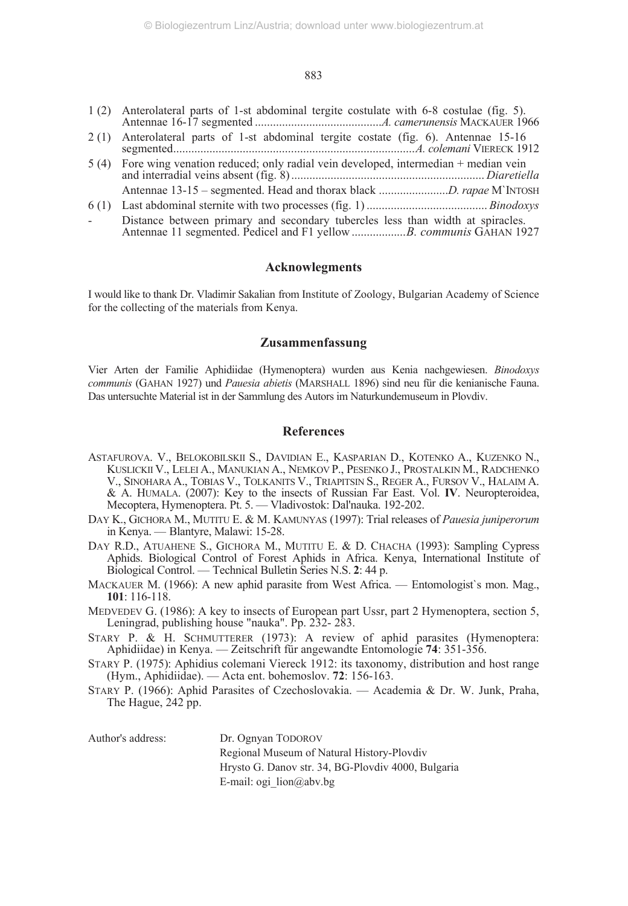#### 883

- 1 (2) Anterolateral parts of 1-st abdominal tergite costulate with 6-8 costulae (fig. 5). Antennae 16-17 segmented ..........................................*A. camerunensis* MACKAUER 1966
- 2 (1) Anterolateral parts of 1-st abdominal tergite costate (fig. 6). Antennae 15-16 segmented................................................................................*A. colemani* VIERECK 1912
- 5 (4) Fore wing venation reduced; only radial vein developed, intermedian + median vein and interradial veins absent (fig. 8) ................................................................ *Diaretiella* Antennae 13-15 – segmented. Head and thorax black .......................*D. rapae* M`INTOSH
- 6 (1) Last abdominal sternite with two processes (fig. 1) ........................................ *Binodoxys* Distance between primary and secondary tubercles less than width at spiracles. Antennae 11 segmented. Pedicel and F1 yellow .................*B. communis* GAHAN 1927

#### **Acknowlegments**

I would like to thank Dr. Vladimir Sakalian from Institute of Zoology, Bulgarian Academy of Science for the collecting of the materials from Kenya.

#### **Zusammenfassung**

Vier Arten der Familie Aphidiidae (Hymenoptera) wurden aus Kenia nachgewiesen. *Binodoxys communis* (GAHAN 1927) und *Pauesia abietis* (MARSHALL 1896) sind neu für die kenianische Fauna. Das untersuchte Material ist in der Sammlung des Autors im Naturkundemuseum in Plovdiv.

#### **References**

- ASTAFUROVA. V., BELOKOBILSKII S., DAVIDIAN Е., KASPARIAN D., KOTENKO А., KUZENKO N., KUSLICKII V., LELEI А., MANUKIAN А., NEMKOV P., PESENKO J., PROSTALKIN М., RADCHENKO V., SINOHARA А., TOBIAS V., TOLKANITS V., TRIAPITSIN S., REGER А., FURSOV V., HALAIM А. & А. HUMALA. (2007): Key to the insects of Russian Far East. Vol. **IV**. Neuropteroidea, Mecoptera, Hymenoptera. Pt. 5. — Vladivostok: Dal'nauka. 192-202.
- DAY K., GICHORA M., MUTITU E. & M. KAMUNYAS (1997): Trial releases of *Pauesia juniperorum* in Kenya. — Blantyre, Malawi: 15-28.
- DAY R.D., ATUAHENE S., GICHORA M., MUTITU E. & D. CHACHA (1993): Sampling Cypress Aphids. Biological Control of Forest Aphids in Africa. Kenya, International Institute of Biological Control. — Technical Bulletin Series N.S. **2**: 44 p.
- MACKAUER M. (1966): A new aphid parasite from West Africa. Entomologist's mon. Mag., **101**: 116-118.
- MEDVEDEV G. (1986): A key to insects of European part Ussr, part 2 Hymenoptera, section 5, Leningrad, publishing house "nauka". Pp. 232- 283.
- STARY P. & H. SCHMUTTERER (1973): A review of aphid parasites (Hymenoptera: Aphidiidae) in Кenya. — Zeitschrift für angewandte Entomologie **74**: 351-356.
- STARY P. (1975): Aphidius colemani Viereck 1912: its taxonomy, distribution and host range (Hym., Aphidiidae). — Acta ent. bohemoslov. **72**: 156-163.
- STARY P. (1966): Aphid Parasites of Czechoslovakia. Academia & Dr. W. Junk, Praha, The Hague, 242 pp.

Author's address: Dr. Ognyan TODOROV

Regional Museum of Natural History-Plovdiv Hrysto G. Danov str. 34, BG-Plovdiv 4000, Bulgaria E-mail: ogi\_lion@abv.bg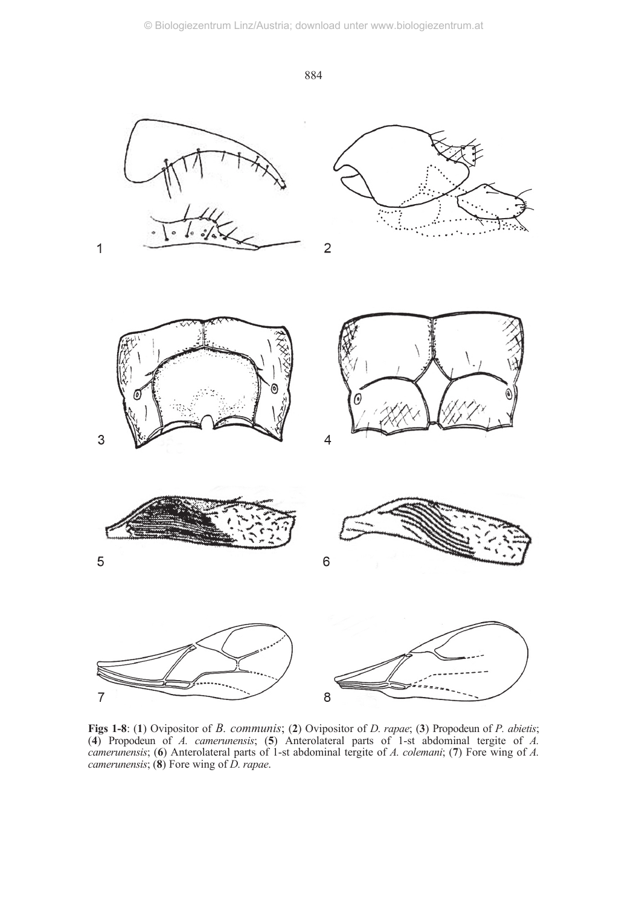884



**Figs 1-8**: (**1**) Ovipositor of *B. communis*; (**2**) Ovipositor of *D. rapae*; (**3**) Propodeun of *P. abietis*; (**4**) Propodeun of *A. camerunensis*; (**5**) Anterolateral parts of 1-st abdominal tergite of *A. camerunensis*; (**6**) Anterolateral parts of 1-st abdominal tergite of *A. colemani*; (**7**) Fore wing of *A. camerunensis*; (**8**) Fore wing of *D. rapae*.